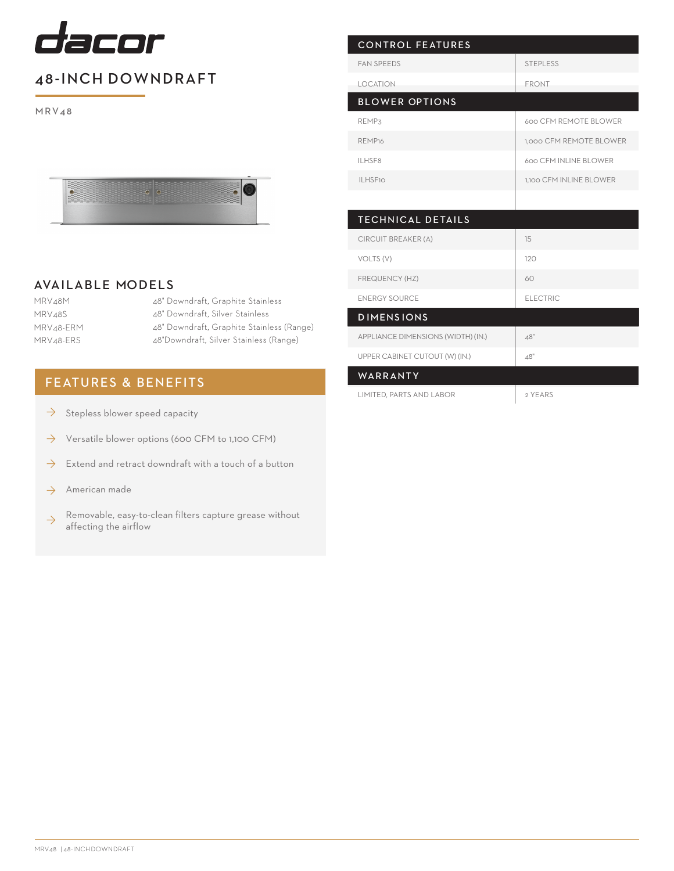

## 48-INCH DOWNDRAFT

M RV4 8



## AVAILABLE MODELS

MRV48M MRV48S MRV48-ERM MRV48-ERS

48" Downdraft, Graphite Stainless 48" Downdraft, Silver Stainless 48" Downdraft, Graphite Stainless (Range) 48"Downdraft, Silver Stainless (Range)

## FEATURES & BENEFITS

- Stepless blower speed capacity  $\rightarrow$
- Versatile blower options (600 CFM to 1,100 CFM) ◊
- Extend and retract downdraft with a touch of a button ◊
- American made ◊
- Removable, easy-to-clean filters capture grease without affecting the airflow ◊

| <b>STEPLESS</b>         |
|-------------------------|
| <b>FRONT</b>            |
|                         |
| 600 CFM REMOTE BLOWER   |
| 1,000 CFM REMOTE BLOWER |
| 600 CFM INLINE BLOWER   |
| 1.100 CFM INLINE BLOWER |
|                         |
|                         |
| 15                      |
| 120                     |
| 60                      |
| <b>ELECTRIC</b>         |
|                         |
| 48"                     |
| 48"                     |
|                         |

| UFFLIN CADIINET CUTOUT (YY) (IIN.) | 40      |
|------------------------------------|---------|
| WARRANTY                           |         |
| LIMITED, PARTS AND LABOR           | 2 YEARS |